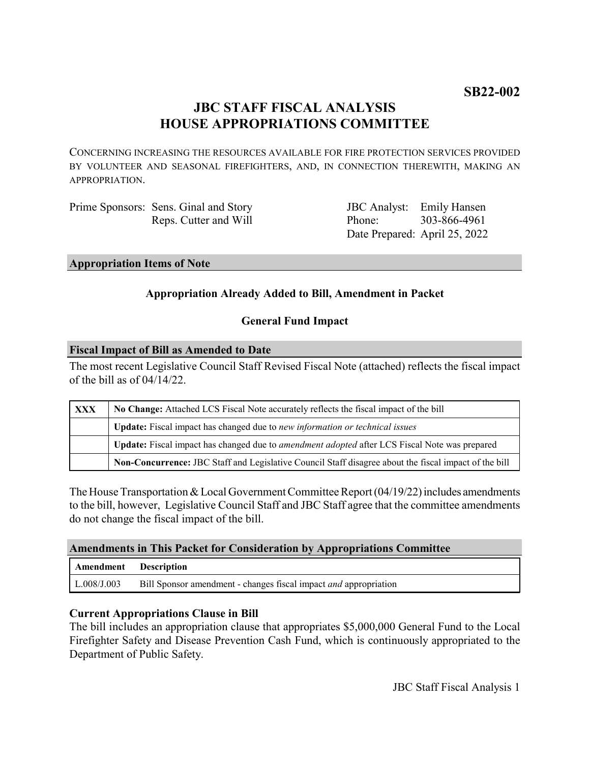# **JBC STAFF FISCAL ANALYSIS HOUSE APPROPRIATIONS COMMITTEE**

CONCERNING INCREASING THE RESOURCES AVAILABLE FOR FIRE PROTECTION SERVICES PROVIDED BY VOLUNTEER AND SEASONAL FIREFIGHTERS, AND, IN CONNECTION THEREWITH, MAKING AN APPROPRIATION.

Prime Sponsors: Sens. Ginal and Story Reps. Cutter and Will

JBC Analyst: Emily Hansen Phone: Date Prepared: April 25, 2022 303-866-4961

#### **Appropriation Items of Note**

# **Appropriation Already Added to Bill, Amendment in Packet**

### **General Fund Impact**

#### **Fiscal Impact of Bill as Amended to Date**

The most recent Legislative Council Staff Revised Fiscal Note (attached) reflects the fiscal impact of the bill as of 04/14/22.

| XXX | No Change: Attached LCS Fiscal Note accurately reflects the fiscal impact of the bill                       |
|-----|-------------------------------------------------------------------------------------------------------------|
|     | Update: Fiscal impact has changed due to new information or technical issues                                |
|     | <b>Update:</b> Fiscal impact has changed due to <i>amendment adopted</i> after LCS Fiscal Note was prepared |
|     | Non-Concurrence: JBC Staff and Legislative Council Staff disagree about the fiscal impact of the bill       |

The House Transportation & Local Government Committee Report (04/19/22) includes amendments to the bill, however, Legislative Council Staff and JBC Staff agree that the committee amendments do not change the fiscal impact of the bill.

#### **Amendments in This Packet for Consideration by Appropriations Committee**

| Amendment Description |                                                                         |
|-----------------------|-------------------------------------------------------------------------|
| L.008/J.003           | Bill Sponsor amendment - changes fiscal impact <i>and</i> appropriation |

#### **Current Appropriations Clause in Bill**

The bill includes an appropriation clause that appropriates \$5,000,000 General Fund to the Local Firefighter Safety and Disease Prevention Cash Fund, which is continuously appropriated to the Department of Public Safety.